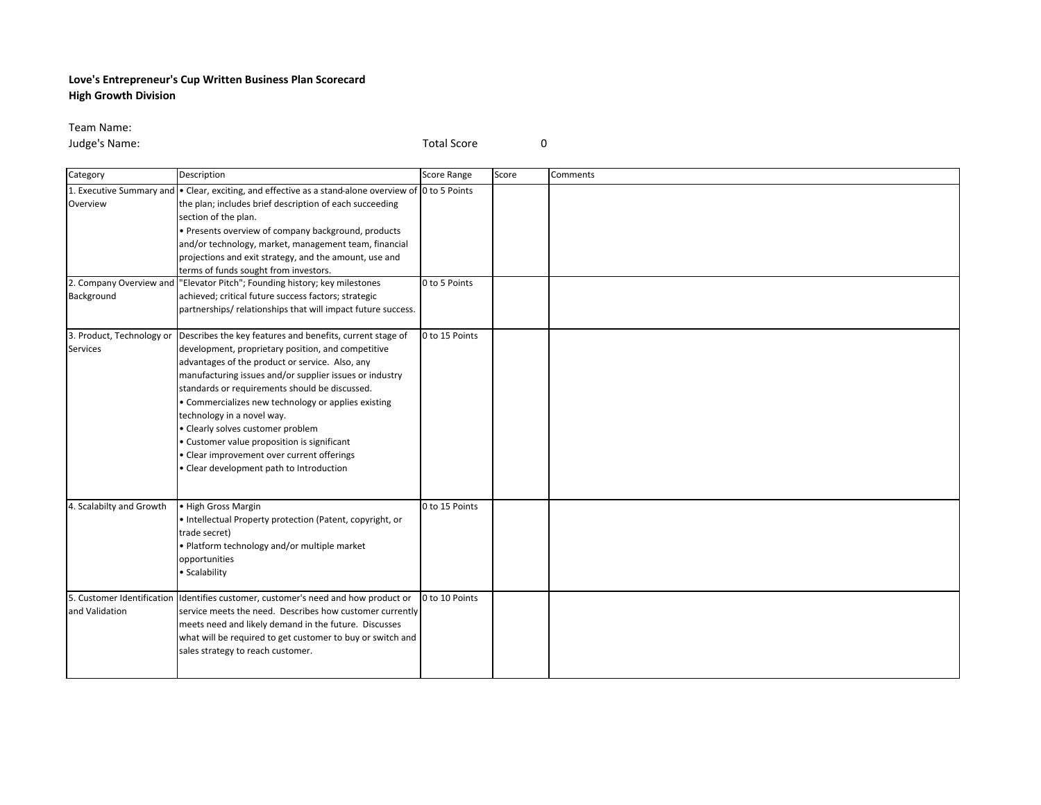## **Love's Entrepreneur's Cup Written Business Plan Scorecard High Growth Division**

Team Name:

**Judge's Name:** 0

| Category                            | Description                                                                                                                                                                                                                                                                                                                                                                                                                                                                                                                                                                  | <b>Score Range</b> | Score | Comments |
|-------------------------------------|------------------------------------------------------------------------------------------------------------------------------------------------------------------------------------------------------------------------------------------------------------------------------------------------------------------------------------------------------------------------------------------------------------------------------------------------------------------------------------------------------------------------------------------------------------------------------|--------------------|-------|----------|
| Overview<br>2. Company Overview and | 1. Executive Summary and $\bullet$ Clear, exciting, and effective as a stand-alone overview of 0 to 5 Points<br>the plan; includes brief description of each succeeding<br>section of the plan.<br>• Presents overview of company background, products<br>and/or technology, market, management team, financial<br>projections and exit strategy, and the amount, use and<br>terms of funds sought from investors.<br>"Elevator Pitch"; Founding history; key milestones                                                                                                     | 0 to 5 Points      |       |          |
| Background                          | achieved; critical future success factors; strategic<br>partnerships/relationships that will impact future success.                                                                                                                                                                                                                                                                                                                                                                                                                                                          |                    |       |          |
| <b>Services</b>                     | 3. Product, Technology or Describes the key features and benefits, current stage of<br>development, proprietary position, and competitive<br>advantages of the product or service. Also, any<br>manufacturing issues and/or supplier issues or industry<br>standards or requirements should be discussed.<br>• Commercializes new technology or applies existing<br>technology in a novel way.<br>· Clearly solves customer problem<br>• Customer value proposition is significant<br>• Clear improvement over current offerings<br>· Clear development path to Introduction | 0 to 15 Points     |       |          |
| 4. Scalabilty and Growth            | • High Gross Margin<br>• Intellectual Property protection (Patent, copyright, or<br>trade secret)<br>. Platform technology and/or multiple market<br>opportunities<br>· Scalability                                                                                                                                                                                                                                                                                                                                                                                          | 0 to 15 Points     |       |          |
| and Validation                      | 5. Customer Identification Identifies customer, customer's need and how product or<br>service meets the need. Describes how customer currently<br>meets need and likely demand in the future. Discusses<br>what will be required to get customer to buy or switch and<br>sales strategy to reach customer.                                                                                                                                                                                                                                                                   | 0 to 10 Points     |       |          |